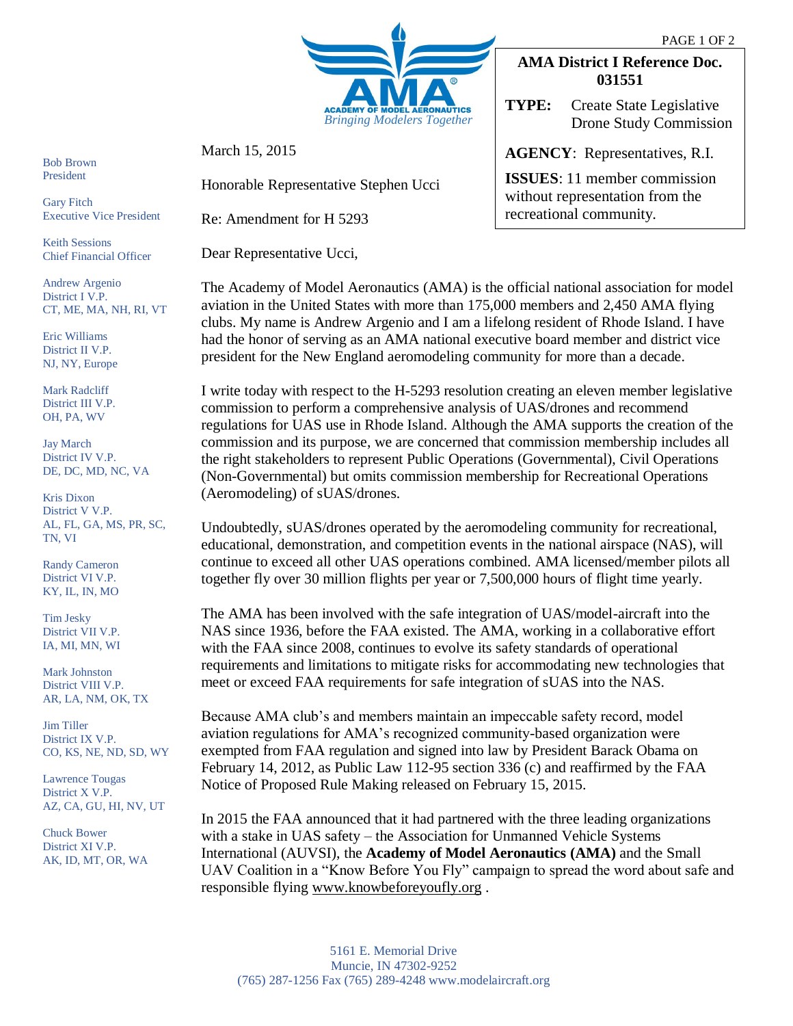

March 15, 2015

Honorable Representative Stephen Ucci

Re: Amendment for H 5293

Dear Representative Ucci,

## **AMA District I Reference Doc. 031551**

**TYPE:** Create State Legislative Drone Study Commission

**AGENCY**: Representatives, R.I.

**ISSUES**: 11 member commission without representation from the recreational community.

Bob Brown President

Gary Fitch Executive Vice President

Keith Sessions Chief Financial Officer

Andrew Argenio District I V.P. CT, ME, MA, NH, RI, VT

Eric Williams District II V.P. NJ, NY, Europe

Mark Radcliff District III V.P. OH, PA, WV

Jay March District IV V.P. DE, DC, MD, NC, VA

Kris Dixon District V V.P. AL, FL, GA, MS, PR, SC, TN, VI

Randy Cameron District VI V.P. KY, IL, IN, MO

Tim Jesky District VII V.P. IA, MI, MN, WI

Mark Johnston District VIII V.P. AR, LA, NM, OK, TX

Jim Tiller District IX V.P. CO, KS, NE, ND, SD, WY

Lawrence Tougas District X V.P. AZ, CA, GU, HI, NV, UT

Chuck Bower District XI V.P. AK, ID, MT, OR, WA The Academy of Model Aeronautics (AMA) is the official national association for model aviation in the United States with more than 175,000 members and 2,450 AMA flying clubs. My name is Andrew Argenio and I am a lifelong resident of Rhode Island. I have had the honor of serving as an AMA national executive board member and district vice president for the New England aeromodeling community for more than a decade.

I write today with respect to the H-5293 resolution creating an eleven member legislative commission to perform a comprehensive analysis of UAS/drones and recommend regulations for UAS use in Rhode Island. Although the AMA supports the creation of the commission and its purpose, we are concerned that commission membership includes all the right stakeholders to represent Public Operations (Governmental), Civil Operations (Non-Governmental) but omits commission membership for Recreational Operations (Aeromodeling) of sUAS/drones.

Undoubtedly, sUAS/drones operated by the aeromodeling community for recreational, educational, demonstration, and competition events in the national airspace (NAS), will continue to exceed all other UAS operations combined. AMA licensed/member pilots all together fly over 30 million flights per year or 7,500,000 hours of flight time yearly.

The AMA has been involved with the safe integration of UAS/model-aircraft into the NAS since 1936, before the FAA existed. The AMA, working in a collaborative effort with the FAA since 2008, continues to evolve its safety standards of operational requirements and limitations to mitigate risks for accommodating new technologies that meet or exceed FAA requirements for safe integration of sUAS into the NAS.

Because AMA club's and members maintain an impeccable safety record, model aviation regulations for AMA's recognized community-based organization were exempted from FAA regulation and signed into law by President Barack Obama on February 14, 2012, as Public Law 112-95 section 336 (c) and reaffirmed by the FAA Notice of Proposed Rule Making released on February 15, 2015.

In 2015 the FAA announced that it had partnered with the three leading organizations with a stake in UAS safety – the Association for Unmanned Vehicle Systems International (AUVSI), the **Academy of Model Aeronautics (AMA)** and the Small UAV Coalition in a "Know Before You Fly" campaign to spread the word about safe and responsible flying [www.knowbeforeyoufly.org](http://www.knowbeforeyoufly.org/) .